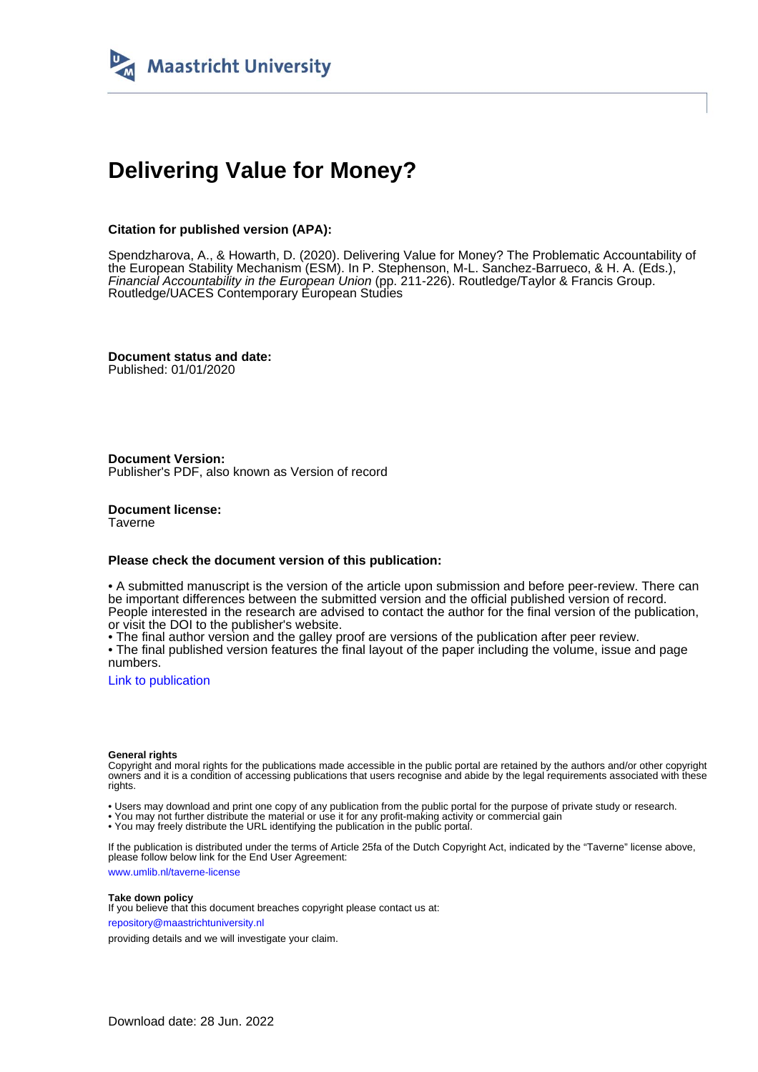

# **Delivering Value for Money?**

## **Citation for published version (APA):**

Spendzharova, A., & Howarth, D. (2020). Delivering Value for Money? The Problematic Accountability of the European Stability Mechanism (ESM). In P. Stephenson, M-L. Sanchez-Barrueco, & H. A. (Eds.), Financial Accountability in the European Union (pp. 211-226). Routledge/Taylor & Francis Group. Routledge/UACES Contemporary European Studies

**Document status and date:** Published: 01/01/2020

**Document Version:** Publisher's PDF, also known as Version of record

**Document license: Taverne** 

#### **Please check the document version of this publication:**

• A submitted manuscript is the version of the article upon submission and before peer-review. There can be important differences between the submitted version and the official published version of record. People interested in the research are advised to contact the author for the final version of the publication, or visit the DOI to the publisher's website.

• The final author version and the galley proof are versions of the publication after peer review.

• The final published version features the final layout of the paper including the volume, issue and page numbers.

[Link to publication](https://cris.maastrichtuniversity.nl/en/publications/0247d35b-bf17-4354-aa10-22b104328e50)

#### **General rights**

Copyright and moral rights for the publications made accessible in the public portal are retained by the authors and/or other copyright owners and it is a condition of accessing publications that users recognise and abide by the legal requirements associated with these rights.

• Users may download and print one copy of any publication from the public portal for the purpose of private study or research.

• You may not further distribute the material or use it for any profit-making activity or commercial gain

• You may freely distribute the URL identifying the publication in the public portal.

If the publication is distributed under the terms of Article 25fa of the Dutch Copyright Act, indicated by the "Taverne" license above, please follow below link for the End User Agreement:

www.umlib.nl/taverne-license

#### **Take down policy**

If you believe that this document breaches copyright please contact us at: repository@maastrichtuniversity.nl

providing details and we will investigate your claim.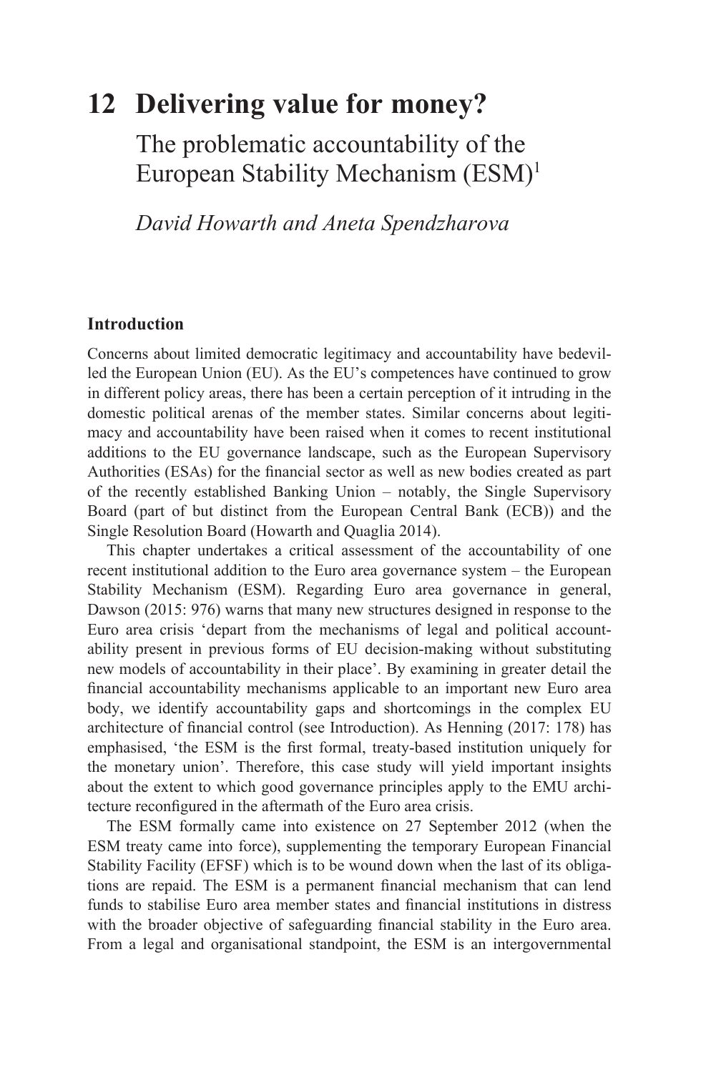## **12 Delivering value for money?**

The problematic accountability of the [European Stability Mechanism \(ESM\)1](#page--1-0)

*David Howarth and Aneta Spendzharova*

## **Introduction**

Concerns about limited democratic legitimacy and accountability have bedevilled the European Union (EU). As the EU's competences have continued to grow in different policy areas, there has been a certain perception of it intruding in the domestic political arenas of the member states. Similar concerns about legitimacy and accountability have been raised when it comes to recent institutional additions to the EU governance landscape, such as the European Supervisory Authorities (ESAs) for the financial sector as well as new bodies created as part of the recently established Banking Union – notably, the Single Supervisory Board (part of but distinct from the European Central Bank (ECB)) and the Single Resolution Board (Howarth and Quaglia 2014).

This chapter undertakes a critical assessment of the accountability of one recent institutional addition to the Euro area governance system – the European Stability Mechanism (ESM). Regarding Euro area governance in general, Dawson (2015: 976) warns that many new structures designed in response to the Euro area crisis 'depart from the mechanisms of legal and political accountability present in previous forms of EU decision-making without substituting new models of accountability in their place'. By examining in greater detail the financial accountability mechanisms applicable to an important new Euro area body, we identify accountability gaps and shortcomings in the complex EU architecture of financial control (see Introduction). As Henning (2017: 178) has emphasised, 'the ESM is the first formal, treaty-based institution uniquely for the monetary union'. Therefore, this case study will yield important insights about the extent to which good governance principles apply to the EMU architecture reconfigured in the aftermath of the Euro area crisis.

The ESM formally came into existence on 27 September 2012 (when the ESM treaty came into force), supplementing the temporary European Financial Stability Facility (EFSF) which is to be wound down when the last of its obligations are repaid. The ESM is a permanent financial mechanism that can lend funds to stabilise Euro area member states and financial institutions in distress with the broader objective of safeguarding financial stability in the Euro area. From a legal and organisational standpoint, the ESM is an intergovernmental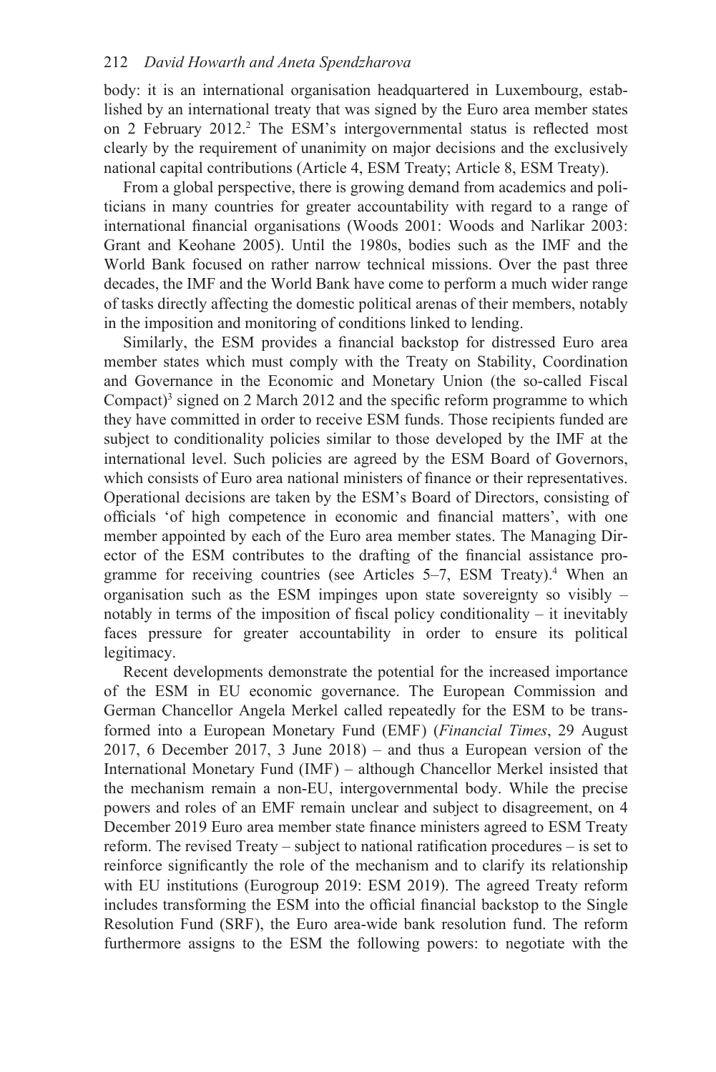### 212 *David Howarth and Aneta Spendzharova*

body: it is an international organisation headquartered in Luxembourg, established by an international treaty that was signed by the Euro area member states on 2 February 2012.<sup>2</sup> The ESM's intergovernmental status is reflected most clearly by the requirement of unanimity on major decisions and the exclusively national capital contributions (Article 4, ESM Treaty; Article 8, ESM Treaty).

From a global perspective, there is growing demand from academics and politicians in many countries for greater accountability with regard to a range of international financial organisations (Woods 2001: Woods and Narlikar 2003: Grant and Keohane 2005). Until the 1980s, bodies such as the IMF and the World Bank focused on rather narrow technical missions. Over the past three decades, the IMF and the World Bank have come to perform a much wider range of tasks directly affecting the domestic political arenas of their members, notably in the imposition and monitoring of conditions linked to lending.

Similarly, the ESM provides a financial backstop for distressed Euro area member states which must comply with the Treaty on Stability, Coordination and Governance in the Economic and Monetary Union (the so-called Fiscal Compact[\)](#page--1-0)<sup>3</sup> signed on 2 March 2012 and the specific reform programme to which they have committed in order to receive ESM funds. Those recipients funded are subject to conditionality policies similar to those developed by the IMF at the international level. Such policies are agreed by the ESM Board of Governors, which consists of Euro area national ministers of finance or their representatives. Operational decisions are taken by the ESM's Board of Directors, consisting of officials 'of high competence in economic and financial matters', with one member appointed by each of the Euro area member states. The Managing Director of the ESM contributes to the drafting of the financial assistance programme for receiving countries (see Articles  $5-7$ , ESM Treaty).<sup>4</sup> When an organisation such as the ESM impinges upon state sovereignty so visibly – notably in terms of the imposition of fiscal policy conditionality – it inevitably faces pressure for greater accountability in order to ensure its political legitimacy.

Recent developments demonstrate the potential for the increased importance of the ESM in EU economic governance. The European Commission and German Chancellor Angela Merkel called repeatedly for the ESM to be transformed into a European Monetary Fund (EMF) (*Financial Times*, 29 August 2017, 6 December 2017, 3 June 2018) – and thus a European version of the International Monetary Fund (IMF) – although Chancellor Merkel insisted that the mechanism remain a non-EU, intergovernmental body. While the precise powers and roles of an EMF remain unclear and subject to disagreement, on 4 December 2019 Euro area member state finance ministers agreed to ESM Treaty reform. The revised Treaty – subject to national ratification procedures – is set to reinforce significantly the role of the mechanism and to clarify its relationship with EU institutions (Eurogroup 2019: ESM 2019). The agreed Treaty reform includes transforming the ESM into the official financial backstop to the Single Resolution Fund (SRF), the Euro area-wide bank resolution fund. The reform furthermore assigns to the ESM the following powers: to negotiate with the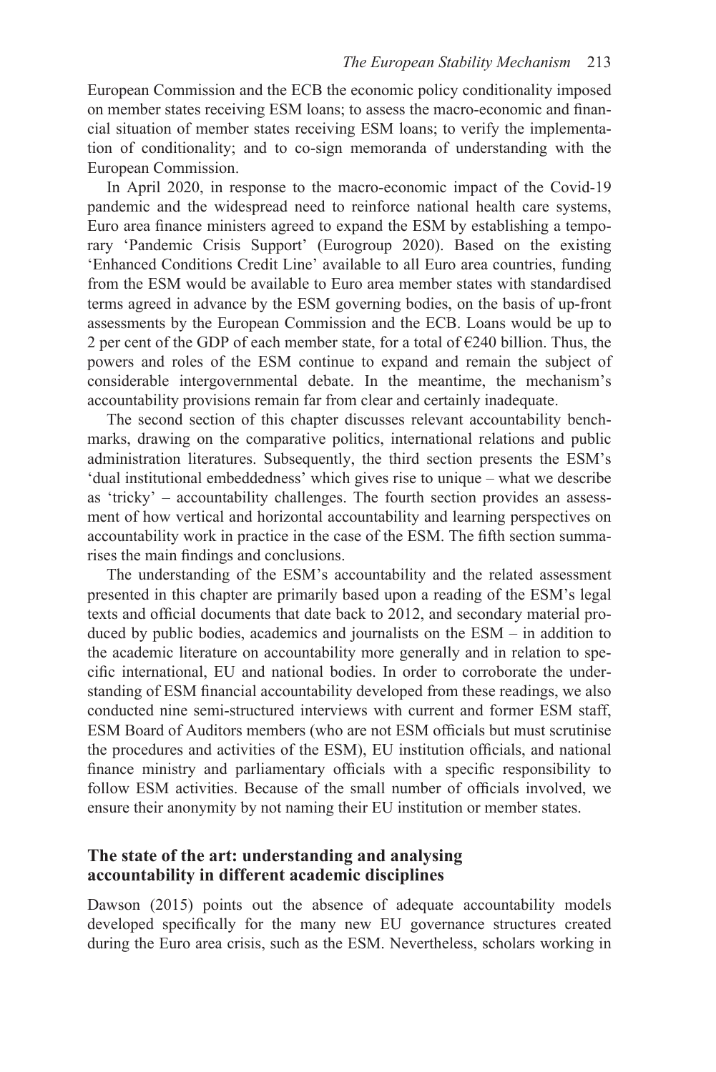European Commission and the ECB the economic policy conditionality imposed on member states receiving ESM loans; to assess the macro-economic and financial situation of member states receiving ESM loans; to verify the implementation of conditionality; and to co-sign memoranda of understanding with the European Commission.

In April 2020, in response to the macro-economic impact of the Covid-19 pandemic and the widespread need to reinforce national health care systems, Euro area finance ministers agreed to expand the ESM by establishing a temporary 'Pandemic Crisis Support' (Eurogroup 2020). Based on the existing 'Enhanced Conditions Credit Line' available to all Euro area countries, funding from the ESM would be available to Euro area member states with standardised terms agreed in advance by the ESM governing bodies, on the basis of up-front assessments by the European Commission and the ECB. Loans would be up to 2 per cent of the GDP of each member state, for a total of  $\epsilon$ 240 billion. Thus, the powers and roles of the ESM continue to expand and remain the subject of considerable intergovernmental debate. In the meantime, the mechanism's accountability provisions remain far from clear and certainly inadequate.

The second section of this chapter discusses relevant accountability benchmarks, drawing on the comparative politics, international relations and public administration literatures. Subsequently, the third section presents the ESM's 'dual institutional embeddedness' which gives rise to unique – what we describe as 'tricky' – accountability challenges. The fourth section provides an assessment of how vertical and horizontal accountability and learning perspectives on accountability work in practice in the case of the ESM. The fifth section summarises the main findings and conclusions.

The understanding of the ESM's accountability and the related assessment presented in this chapter are primarily based upon a reading of the ESM's legal texts and official documents that date back to 2012, and secondary material produced by public bodies, academics and journalists on the ESM – in addition to the academic literature on accountability more generally and in relation to specific international, EU and national bodies. In order to corroborate the understanding of ESM financial accountability developed from these readings, we also conducted nine semi-structured interviews with current and former ESM staff, ESM Board of Auditors members (who are not ESM officials but must scrutinise the procedures and activities of the ESM), EU institution officials, and national finance ministry and parliamentary officials with a specific responsibility to follow ESM activities. Because of the small number of officials involved, we ensure their anonymity by not naming their EU institution or member states.

## **The state of the art: understanding and analysing accountability in different academic disciplines**

Dawson (2015) points out the absence of adequate accountability models developed specifically for the many new EU governance structures created during the Euro area crisis, such as the ESM. Nevertheless, scholars working in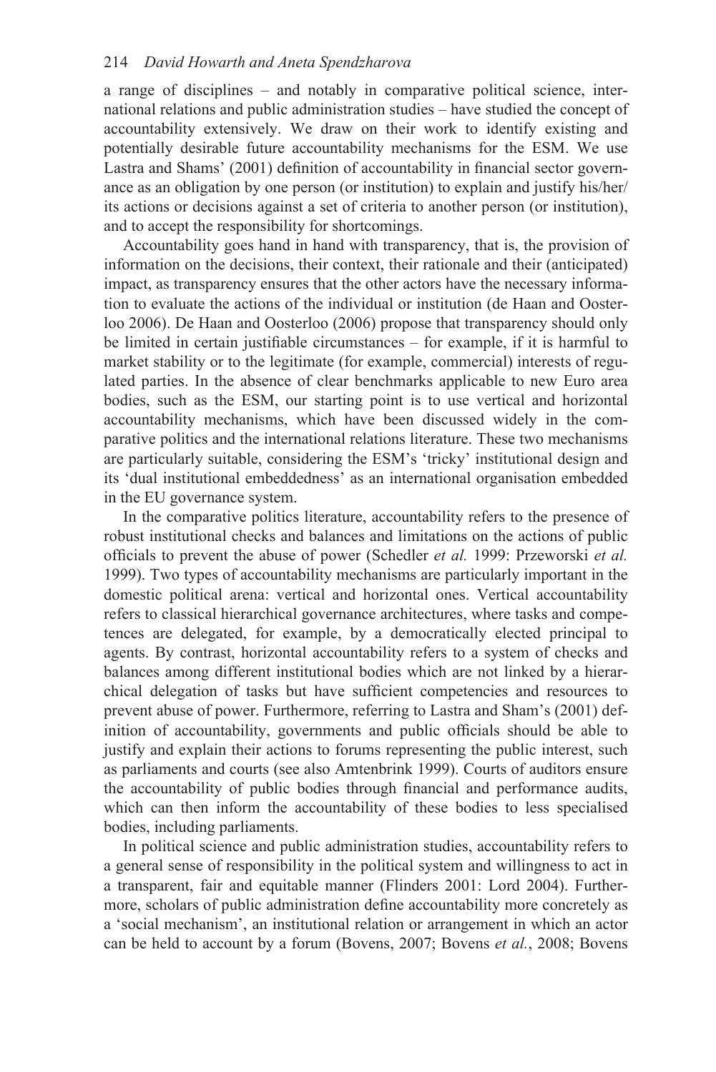#### 214 *David Howarth and Aneta Spendzharova*

a range of disciplines – and notably in comparative political science, international relations and public administration studies – have studied the concept of accountability extensively. We draw on their work to identify existing and potentially desirable future accountability mechanisms for the ESM. We use Lastra and Shams' (2001) definition of accountability in financial sector governance as an obligation by one person (or institution) to explain and justify his/her/ its actions or decisions against a set of criteria to another person (or institution), and to accept the responsibility for shortcomings.

Accountability goes hand in hand with transparency, that is, the provision of information on the decisions, their context, their rationale and their (anticipated) impact, as transparency ensures that the other actors have the necessary information to evaluate the actions of the individual or institution (de Haan and Oosterloo 2006). De Haan and Oosterloo (2006) propose that transparency should only be limited in certain justifiable circumstances – for example, if it is harmful to market stability or to the legitimate (for example, commercial) interests of regulated parties. In the absence of clear benchmarks applicable to new Euro area bodies, such as the ESM, our starting point is to use vertical and horizontal accountability mechanisms, which have been discussed widely in the comparative politics and the international relations literature. These two mechanisms are particularly suitable, considering the ESM's 'tricky' institutional design and its 'dual institutional embeddedness' as an international organisation embedded in the EU governance system.

In the comparative politics literature, accountability refers to the presence of robust institutional checks and balances and limitations on the actions of public officials to prevent the abuse of power (Schedler *et al.* 1999: Przeworski *et al.* 1999). Two types of accountability mechanisms are particularly important in the domestic political arena: vertical and horizontal ones. Vertical accountability refers to classical hierarchical governance architectures, where tasks and competences are delegated, for example, by a democratically elected principal to agents. By contrast, horizontal accountability refers to a system of checks and balances among different institutional bodies which are not linked by a hierarchical delegation of tasks but have sufficient competencies and resources to prevent abuse of power. Furthermore, referring to Lastra and Sham's (2001) definition of accountability, governments and public officials should be able to justify and explain their actions to forums representing the public interest, such as parliaments and courts (see also Amtenbrink 1999). Courts of auditors ensure the accountability of public bodies through financial and performance audits, which can then inform the accountability of these bodies to less specialised bodies, including parliaments.

In political science and public administration studies, accountability refers to a general sense of responsibility in the political system and willingness to act in a transparent, fair and equitable manner (Flinders 2001: Lord 2004). Furthermore, scholars of public administration define accountability more concretely as a 'social mechanism', an institutional relation or arrangement in which an actor can be held to account by a forum (Bovens, 2007; Bovens *et al.*, 2008; Bovens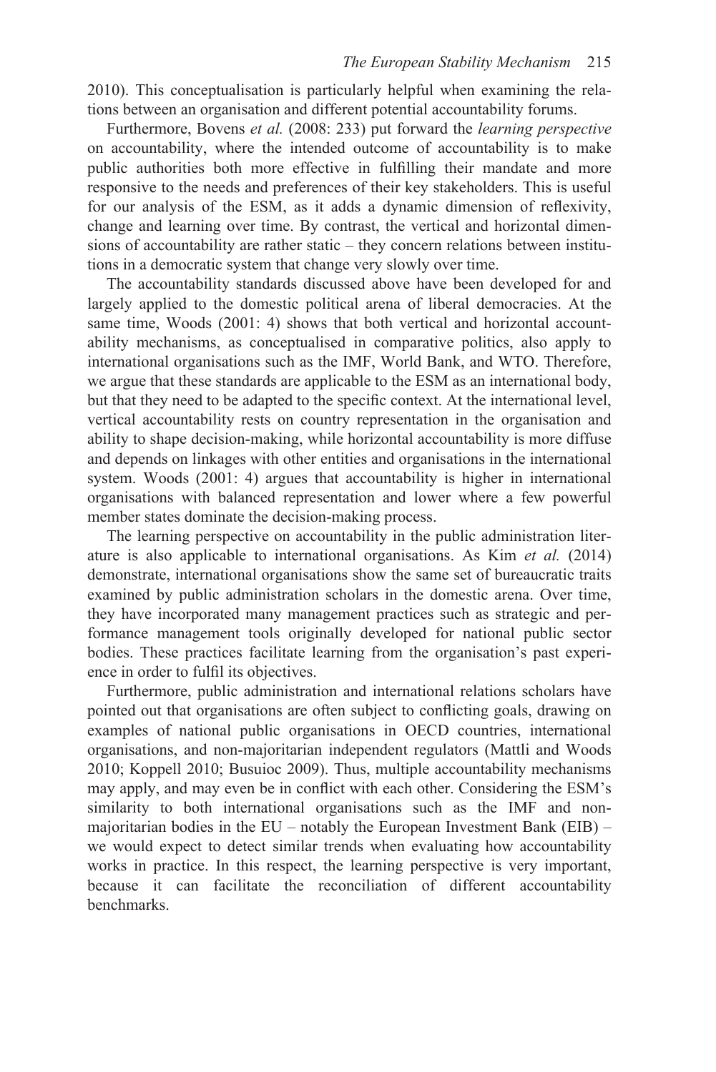2010). This conceptualisation is particularly helpful when examining the relations between an organisation and different potential accountability forums.

Furthermore, Bovens *et al.* (2008: 233) put forward the *learning perspective* on accountability, where the intended outcome of accountability is to make public authorities both more effective in fulfilling their mandate and more responsive to the needs and preferences of their key stakeholders. This is useful for our analysis of the ESM, as it adds a dynamic dimension of reflexivity, change and learning over time. By contrast, the vertical and horizontal dimensions of accountability are rather static – they concern relations between institutions in a democratic system that change very slowly over time.

The accountability standards discussed above have been developed for and largely applied to the domestic political arena of liberal democracies. At the same time, Woods (2001: 4) shows that both vertical and horizontal accountability mechanisms, as conceptualised in comparative politics, also apply to international organisations such as the IMF, World Bank, and WTO. Therefore, we argue that these standards are applicable to the ESM as an international body, but that they need to be adapted to the specific context. At the international level, vertical accountability rests on country representation in the organisation and ability to shape decision-making, while horizontal accountability is more diffuse and depends on linkages with other entities and organisations in the international system. Woods (2001: 4) argues that accountability is higher in international organisations with balanced representation and lower where a few powerful member states dominate the decision-making process.

The learning perspective on accountability in the public administration literature is also applicable to international organisations. As Kim *et al.* (2014) demonstrate, international organisations show the same set of bureaucratic traits examined by public administration scholars in the domestic arena. Over time, they have incorporated many management practices such as strategic and performance management tools originally developed for national public sector bodies. These practices facilitate learning from the organisation's past experience in order to fulfil its objectives.

Furthermore, public administration and international relations scholars have pointed out that organisations are often subject to conflicting goals, drawing on examples of national public organisations in OECD countries, international organisations, and non-majoritarian independent regulators (Mattli and Woods 2010; Koppell 2010; Busuioc 2009). Thus, multiple accountability mechanisms may apply, and may even be in conflict with each other. Considering the ESM's similarity to both international organisations such as the IMF and nonmajoritarian bodies in the EU – notably the European Investment Bank (EIB) – we would expect to detect similar trends when evaluating how accountability works in practice. In this respect, the learning perspective is very important, because it can facilitate the reconciliation of different accountability benchmarks.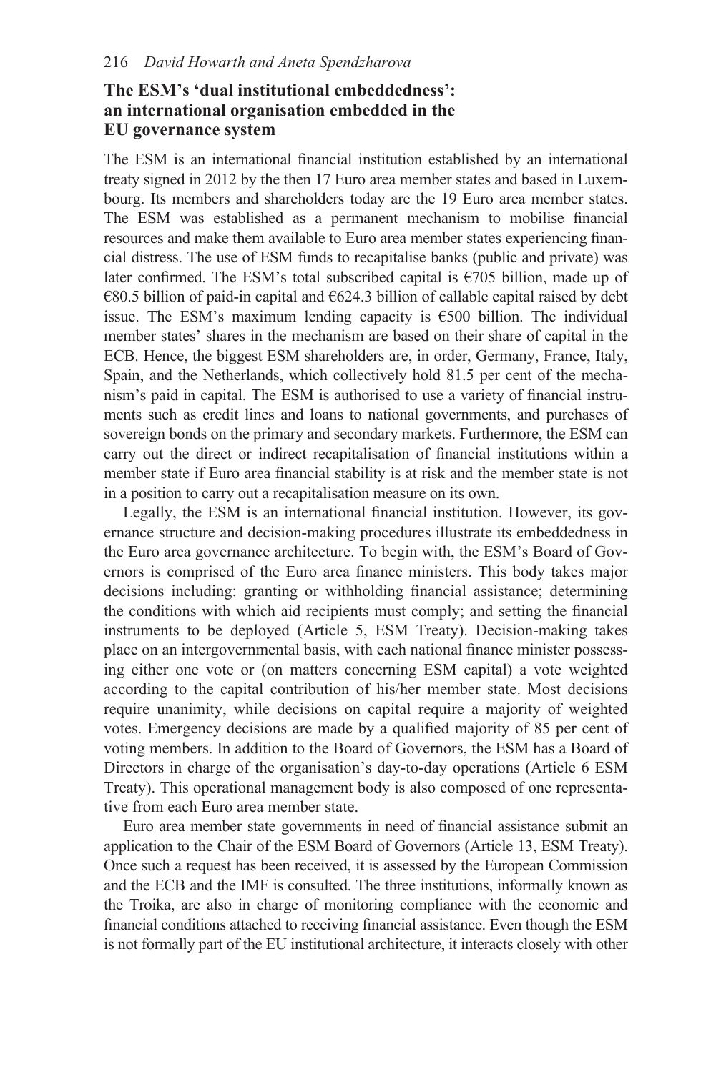## **The ESM's 'dual institutional embeddedness': an international organisation embedded in the EU governance system**

The ESM is an international financial institution established by an international treaty signed in 2012 by the then 17 Euro area member states and based in Luxembourg. Its members and shareholders today are the 19 Euro area member states. The ESM was established as a permanent mechanism to mobilise financial resources and make them available to Euro area member states experiencing financial distress. The use of ESM funds to recapitalise banks (public and private) was later confirmed. The ESM's total subscribed capital is  $\epsilon$ 705 billion, made up of  $€80.5$  billion of paid-in capital and  $€624.3$  billion of callable capital raised by debt issue. The ESM's maximum lending capacity is  $\epsilon$ 500 billion. The individual member states' shares in the mechanism are based on their share of capital in the ECB. Hence, the biggest ESM shareholders are, in order, Germany, France, Italy, Spain, and the Netherlands, which collectively hold 81.5 per cent of the mechanism's paid in capital. The ESM is authorised to use a variety of financial instruments such as credit lines and loans to national governments, and purchases of sovereign bonds on the primary and secondary markets. Furthermore, the ESM can carry out the direct or indirect recapitalisation of financial institutions within a member state if Euro area financial stability is at risk and the member state is not in a position to carry out a recapitalisation measure on its own.

Legally, the ESM is an international financial institution. However, its governance structure and decision-making procedures illustrate its embeddedness in the Euro area governance architecture. To begin with, the ESM's Board of Governors is comprised of the Euro area finance ministers. This body takes major decisions including: granting or withholding financial assistance; determining the conditions with which aid recipients must comply; and setting the financial instruments to be deployed (Article 5, ESM Treaty). Decision-making takes place on an intergovernmental basis, with each national finance minister possessing either one vote or (on matters concerning ESM capital) a vote weighted according to the capital contribution of his/her member state. Most decisions require unanimity, while decisions on capital require a majority of weighted votes. Emergency decisions are made by a qualified majority of 85 per cent of voting members. In addition to the Board of Governors, the ESM has a Board of Directors in charge of the organisation's day-to-day operations (Article 6 ESM Treaty). This operational management body is also composed of one representative from each Euro area member state.

Euro area member state governments in need of financial assistance submit an application to the Chair of the ESM Board of Governors (Article 13, ESM Treaty). Once such a request has been received, it is assessed by the European Commission and the ECB and the IMF is consulted. The three institutions, informally known as the Troika, are also in charge of monitoring compliance with the economic and financial conditions attached to receiving financial assistance. Even though the ESM is not formally part of the EU institutional architecture, it interacts closely with other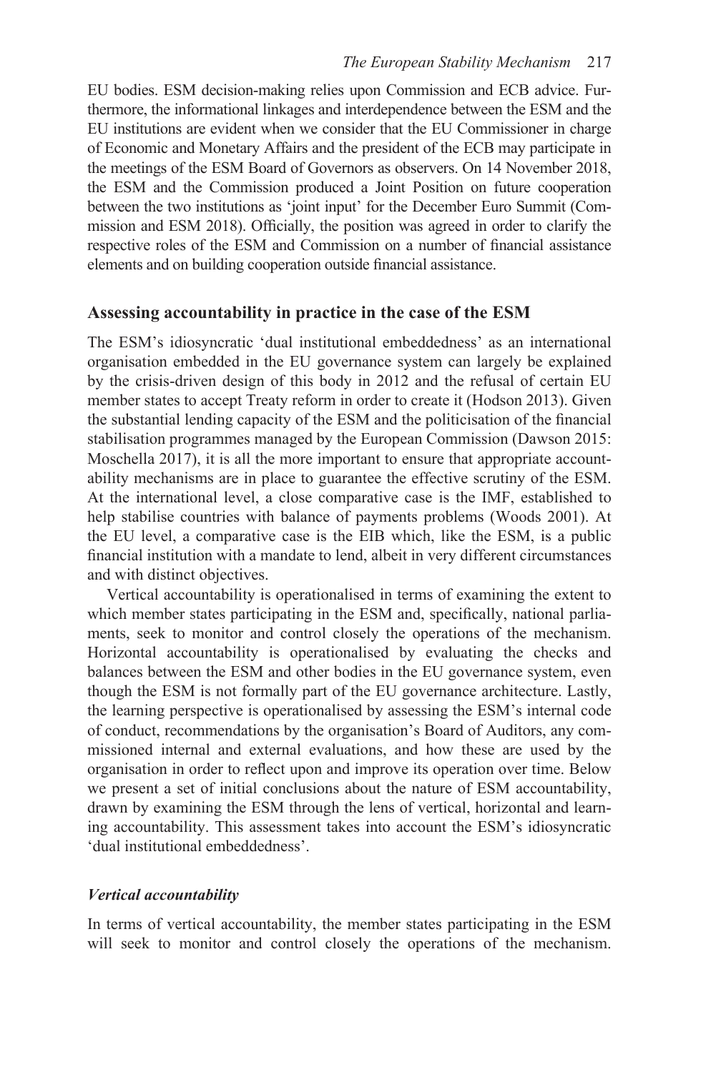EU bodies. ESM decision-making relies upon Commission and ECB advice. Furthermore, the informational linkages and interdependence between the ESM and the EU institutions are evident when we consider that the EU Commissioner in charge of Economic and Monetary Affairs and the president of the ECB may participate in the meetings of the ESM Board of Governors as observers. On 14 November 2018, the ESM and the Commission produced a Joint Position on future cooperation between the two institutions as 'joint input' for the December Euro Summit (Commission and ESM 2018). Officially, the position was agreed in order to clarify the respective roles of the ESM and Commission on a number of financial assistance elements and on building cooperation outside financial assistance.

## **Assessing accountability in practice in the case of the ESM**

The ESM's idiosyncratic 'dual institutional embeddedness' as an international organisation embedded in the EU governance system can largely be explained by the crisis-driven design of this body in 2012 and the refusal of certain EU member states to accept Treaty reform in order to create it (Hodson 2013). Given the substantial lending capacity of the ESM and the politicisation of the financial stabilisation programmes managed by the European Commission (Dawson 2015: Moschella 2017), it is all the more important to ensure that appropriate accountability mechanisms are in place to guarantee the effective scrutiny of the ESM. At the international level, a close comparative case is the IMF, established to help stabilise countries with balance of payments problems (Woods 2001). At the EU level, a comparative case is the EIB which, like the ESM, is a public financial institution with a mandate to lend, albeit in very different circumstances and with distinct objectives.

Vertical accountability is operationalised in terms of examining the extent to which member states participating in the ESM and, specifically, national parliaments, seek to monitor and control closely the operations of the mechanism. Horizontal accountability is operationalised by evaluating the checks and balances between the ESM and other bodies in the EU governance system, even though the ESM is not formally part of the EU governance architecture. Lastly, the learning perspective is operationalised by assessing the ESM's internal code of conduct, recommendations by the organisation's Board of Auditors, any commissioned internal and external evaluations, and how these are used by the organisation in order to reflect upon and improve its operation over time. Below we present a set of initial conclusions about the nature of ESM accountability, drawn by examining the ESM through the lens of vertical, horizontal and learning accountability. This assessment takes into account the ESM's idiosyncratic 'dual institutional embeddedness'.

#### *Vertical accountability*

In terms of vertical accountability, the member states participating in the ESM will seek to monitor and control closely the operations of the mechanism.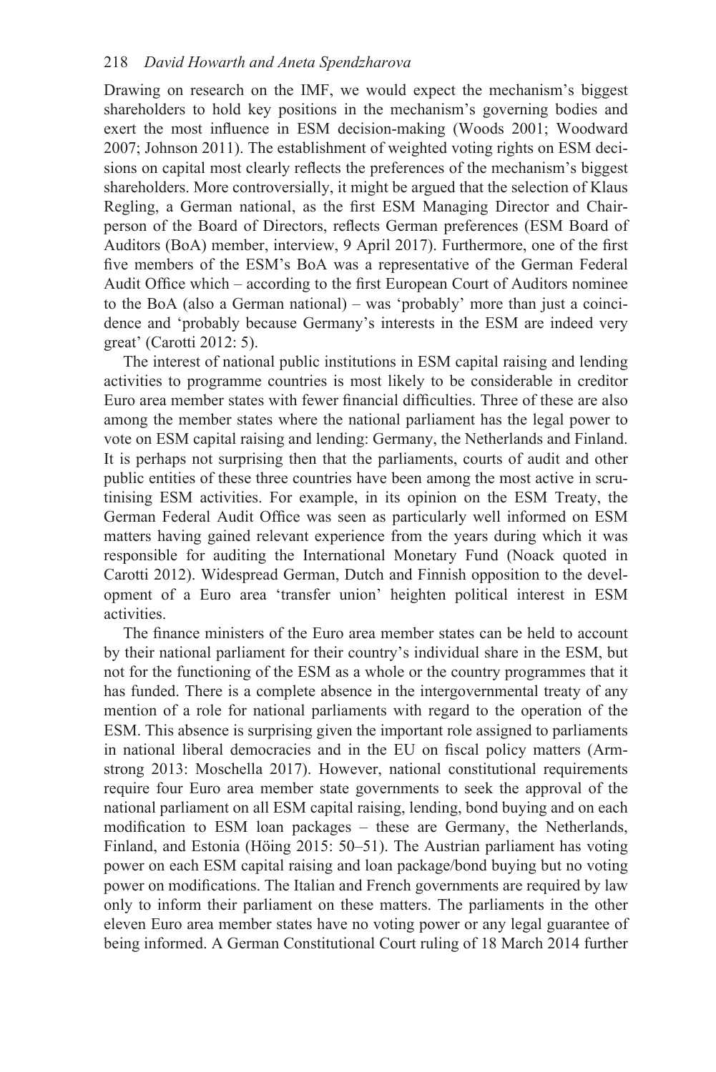Drawing on research on the IMF, we would expect the mechanism's biggest shareholders to hold key positions in the mechanism's governing bodies and exert the most influence in ESM decision-making (Woods 2001; Woodward 2007; Johnson 2011). The establishment of weighted voting rights on ESM decisions on capital most clearly reflects the preferences of the mechanism's biggest shareholders. More controversially, it might be argued that the selection of Klaus Regling, a German national, as the first ESM Managing Director and Chairperson of the Board of Directors, reflects German preferences (ESM Board of Auditors (BoA) member, interview, 9 April 2017). Furthermore, one of the first five members of the ESM's BoA was a representative of the German Federal Audit Office which – according to the first European Court of Auditors nominee to the BoA (also a German national) – was 'probably' more than just a coincidence and 'probably because Germany's interests in the ESM are indeed very great' (Carotti 2012: 5).

The interest of national public institutions in ESM capital raising and lending activities to programme countries is most likely to be considerable in creditor Euro area member states with fewer financial difficulties. Three of these are also among the member states where the national parliament has the legal power to vote on ESM capital raising and lending: Germany, the Netherlands and Finland. It is perhaps not surprising then that the parliaments, courts of audit and other public entities of these three countries have been among the most active in scrutinising ESM activities. For example, in its opinion on the ESM Treaty, the German Federal Audit Office was seen as particularly well informed on ESM matters having gained relevant experience from the years during which it was responsible for auditing the International Monetary Fund (Noack quoted in Carotti 2012). Widespread German, Dutch and Finnish opposition to the development of a Euro area 'transfer union' heighten political interest in ESM activities.

The finance ministers of the Euro area member states can be held to account by their national parliament for their country's individual share in the ESM, but not for the functioning of the ESM as a whole or the country programmes that it has funded. There is a complete absence in the intergovernmental treaty of any mention of a role for national parliaments with regard to the operation of the ESM. This absence is surprising given the important role assigned to parliaments in national liberal democracies and in the EU on fiscal policy matters (Armstrong 2013: Moschella 2017). However, national constitutional requirements require four Euro area member state governments to seek the approval of the national parliament on all ESM capital raising, lending, bond buying and on each modification to ESM loan packages – these are Germany, the Netherlands, Finland, and Estonia (Höing 2015: 50–51). The Austrian parliament has voting power on each ESM capital raising and loan package/bond buying but no voting power on modifications. The Italian and French governments are required by law only to inform their parliament on these matters. The parliaments in the other eleven Euro area member states have no voting power or any legal guarantee of being informed. A German Constitutional Court ruling of 18 March 2014 further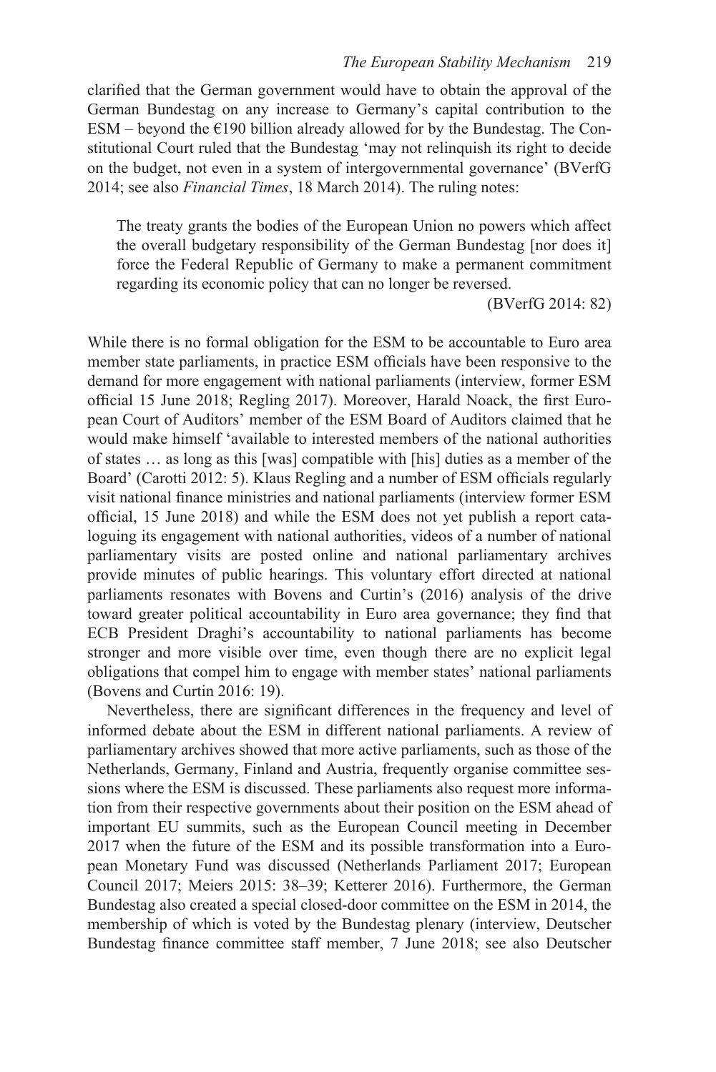clarified that the German government would have to obtain the approval of the German Bundestag on any increase to Germany's capital contribution to the ESM – beyond the  $E190$  billion already allowed for by the Bundestag. The Constitutional Court ruled that the Bundestag 'may not relinquish its right to decide on the budget, not even in a system of intergovernmental governance' (BVerfG 2014; see also *Financial Times*, 18 March 2014). The ruling notes:

The treaty grants the bodies of the European Union no powers which affect the overall budgetary responsibility of the German Bundestag [nor does it] force the Federal Republic of Germany to make a permanent commitment regarding its economic policy that can no longer be reversed.

(BVerfG 2014: 82)

While there is no formal obligation for the ESM to be accountable to Euro area member state parliaments, in practice ESM officials have been responsive to the demand for more engagement with national parliaments (interview, former ESM official 15 June 2018; Regling 2017). Moreover, Harald Noack, the first European Court of Auditors' member of the ESM Board of Auditors claimed that he would make himself 'available to interested members of the national authorities of states … as long as this [was] compatible with [his] duties as a member of the Board' (Carotti 2012: 5). Klaus Regling and a number of ESM officials regularly visit national finance ministries and national parliaments (interview former ESM official, 15 June 2018) and while the ESM does not yet publish a report cataloguing its engagement with national authorities, videos of a number of national parliamentary visits are posted online and national parliamentary archives provide minutes of public hearings. This voluntary effort directed at national parliaments resonates with Bovens and Curtin's (2016) analysis of the drive toward greater political accountability in Euro area governance; they find that ECB President Draghi's accountability to national parliaments has become stronger and more visible over time, even though there are no explicit legal obligations that compel him to engage with member states' national parliaments (Bovens and Curtin 2016: 19).

Nevertheless, there are significant differences in the frequency and level of informed debate about the ESM in different national parliaments. A review of parliamentary archives showed that more active parliaments, such as those of the Netherlands, Germany, Finland and Austria, frequently organise committee sessions where the ESM is discussed. These parliaments also request more information from their respective governments about their position on the ESM ahead of important EU summits, such as the European Council meeting in December 2017 when the future of the ESM and its possible transformation into a European Monetary Fund was discussed (Netherlands Parliament 2017; European Council 2017; Meiers 2015: 38–39; Ketterer 2016). Furthermore, the German Bundestag also created a special closed-door committee on the ESM in 2014, the membership of which is voted by the Bundestag plenary (interview, Deutscher Bundestag finance committee staff member, 7 June 2018; see also Deutscher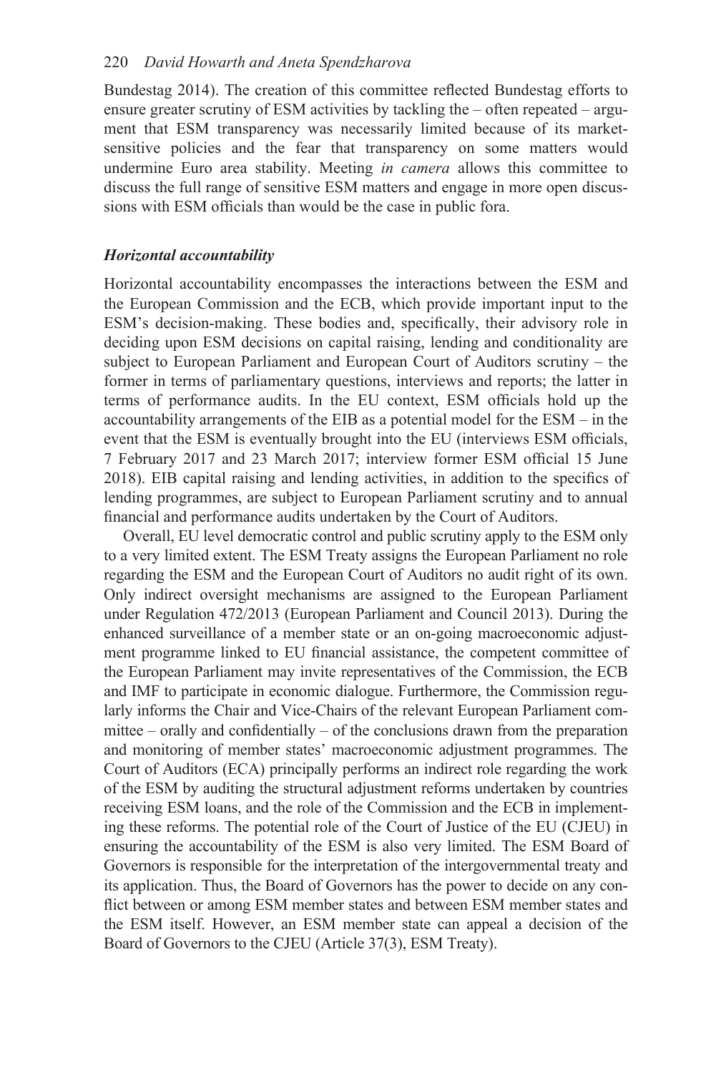Bundestag 2014). The creation of this committee reflected Bundestag efforts to ensure greater scrutiny of ESM activities by tackling the – often repeated – argument that ESM transparency was necessarily limited because of its marketsensitive policies and the fear that transparency on some matters would undermine Euro area stability. Meeting *in camera* allows this committee to discuss the full range of sensitive ESM matters and engage in more open discussions with ESM officials than would be the case in public fora.

### *Horizontal accountability*

Horizontal accountability encompasses the interactions between the ESM and the European Commission and the ECB, which provide important input to the ESM's decision-making. These bodies and, specifically, their advisory role in deciding upon ESM decisions on capital raising, lending and conditionality are subject to European Parliament and European Court of Auditors scrutiny – the former in terms of parliamentary questions, interviews and reports; the latter in terms of performance audits. In the EU context, ESM officials hold up the accountability arrangements of the EIB as a potential model for the ESM – in the event that the ESM is eventually brought into the EU (interviews ESM officials, 7 February 2017 and 23 March 2017; interview former ESM official 15 June 2018). EIB capital raising and lending activities, in addition to the specifics of lending programmes, are subject to European Parliament scrutiny and to annual financial and performance audits undertaken by the Court of Auditors.

Overall, EU level democratic control and public scrutiny apply to the ESM only to a very limited extent. The ESM Treaty assigns the European Parliament no role regarding the ESM and the European Court of Auditors no audit right of its own. Only indirect oversight mechanisms are assigned to the European Parliament under Regulation 472/2013 (European Parliament and Council 2013). During the enhanced surveillance of a member state or an on-going macroeconomic adjustment programme linked to EU financial assistance, the competent committee of the European Parliament may invite representatives of the Commission, the ECB and IMF to participate in economic dialogue. Furthermore, the Commission regularly informs the Chair and Vice-Chairs of the relevant European Parliament committee – orally and confidentially – of the conclusions drawn from the preparation and monitoring of member states' macroeconomic adjustment programmes. The Court of Auditors (ECA) principally performs an indirect role regarding the work of the ESM by auditing the structural adjustment reforms undertaken by countries receiving ESM loans, and the role of the Commission and the ECB in implementing these reforms. The potential role of the Court of Justice of the EU (CJEU) in ensuring the accountability of the ESM is also very limited. The ESM Board of Governors is responsible for the interpretation of the intergovernmental treaty and its application. Thus, the Board of Governors has the power to decide on any conflict between or among ESM member states and between ESM member states and the ESM itself. However, an ESM member state can appeal a decision of the Board of Governors to the CJEU (Article 37(3), ESM Treaty).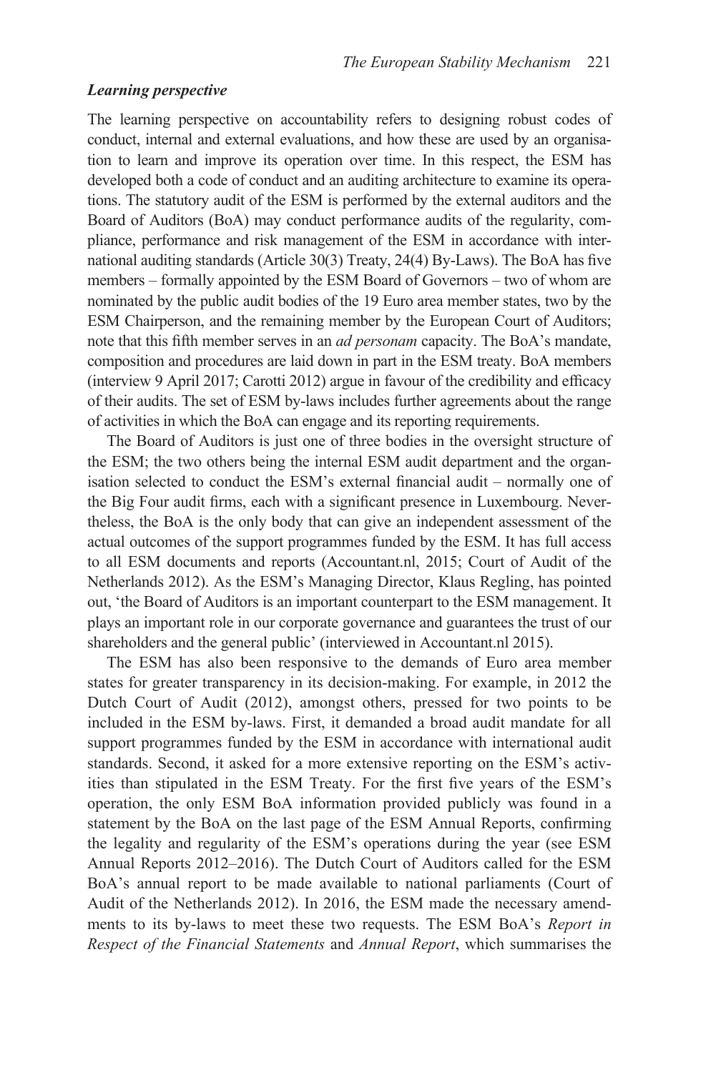## *Learning perspective*

The learning perspective on accountability refers to designing robust codes of conduct, internal and external evaluations, and how these are used by an organisation to learn and improve its operation over time. In this respect, the ESM has developed both a code of conduct and an auditing architecture to examine its operations. The statutory audit of the ESM is performed by the external auditors and the Board of Auditors (BoA) may conduct performance audits of the regularity, compliance, performance and risk management of the ESM in accordance with international auditing standards (Article 30(3) Treaty, 24(4) By-Laws). The BoA has five members – formally appointed by the ESM Board of Governors – two of whom are nominated by the public audit bodies of the 19 Euro area member states, two by the ESM Chairperson, and the remaining member by the European Court of Auditors; note that this fifth member serves in an *ad personam* capacity. The BoA's mandate, composition and procedures are laid down in part in the ESM treaty. BoA members (interview 9 April 2017; Carotti 2012) argue in favour of the credibility and efficacy of their audits. The set of ESM by-laws includes further agreements about the range of activities in which the BoA can engage and its reporting requirements.

The Board of Auditors is just one of three bodies in the oversight structure of the ESM; the two others being the internal ESM audit department and the organisation selected to conduct the ESM's external financial audit – normally one of the Big Four audit firms, each with a significant presence in Luxembourg. Nevertheless, the BoA is the only body that can give an independent assessment of the actual outcomes of the support programmes funded by the ESM. It has full access to all ESM documents and reports (Accountant.nl, 2015; Court of Audit of the Netherlands 2012). As the ESM's Managing Director, Klaus Regling, has pointed out, 'the Board of Auditors is an important counterpart to the ESM management. It plays an important role in our corporate governance and guarantees the trust of our shareholders and the general public' (interviewed in Accountant.nl 2015).

The ESM has also been responsive to the demands of Euro area member states for greater transparency in its decision-making. For example, in 2012 the Dutch Court of Audit (2012), amongst others, pressed for two points to be included in the ESM by-laws. First, it demanded a broad audit mandate for all support programmes funded by the ESM in accordance with international audit standards. Second, it asked for a more extensive reporting on the ESM's activities than stipulated in the ESM Treaty. For the first five years of the ESM's operation, the only ESM BoA information provided publicly was found in a statement by the BoA on the last page of the ESM Annual Reports, confirming the legality and regularity of the ESM's operations during the year (see ESM Annual Reports 2012–2016). The Dutch Court of Auditors called for the ESM BoA's annual report to be made available to national parliaments (Court of Audit of the Netherlands 2012). In 2016, the ESM made the necessary amendments to its by-laws to meet these two requests. The ESM BoA's *Report in Respect of the Financial Statements* and *Annual Report*, which summarises the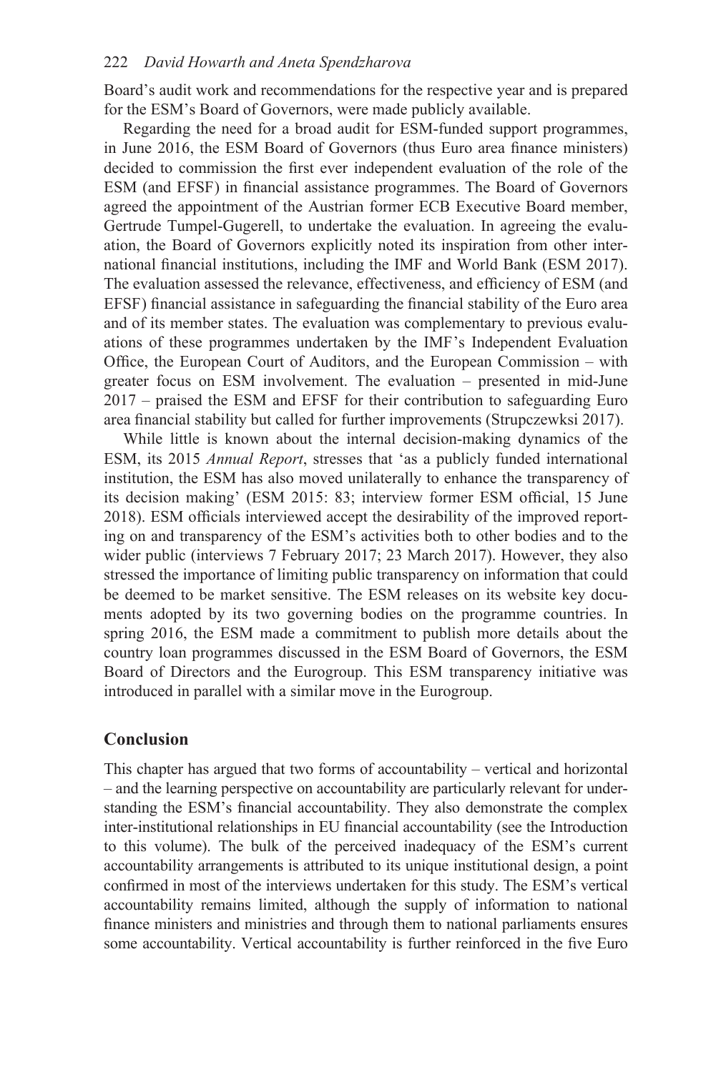Board's audit work and recommendations for the respective year and is prepared for the ESM's Board of Governors, were made publicly available.

Regarding the need for a broad audit for ESM-funded support programmes, in June 2016, the ESM Board of Governors (thus Euro area finance ministers) decided to commission the first ever independent evaluation of the role of the ESM (and EFSF) in financial assistance programmes. The Board of Governors agreed the appointment of the Austrian former ECB Executive Board member, Gertrude Tumpel-Gugerell, to undertake the evaluation. In agreeing the evaluation, the Board of Governors explicitly noted its inspiration from other international financial institutions, including the IMF and World Bank (ESM 2017). The evaluation assessed the relevance, effectiveness, and efficiency of ESM (and EFSF) financial assistance in safeguarding the financial stability of the Euro area and of its member states. The evaluation was complementary to previous evaluations of these programmes undertaken by the IMF's Independent Evaluation Office, the European Court of Auditors, and the European Commission – with greater focus on ESM involvement. The evaluation – presented in mid-June 2017 – praised the ESM and EFSF for their contribution to safeguarding Euro area financial stability but called for further improvements (Strupczewksi 2017).

While little is known about the internal decision-making dynamics of the ESM, its 2015 *Annual Report*, stresses that 'as a publicly funded international institution, the ESM has also moved unilaterally to enhance the transparency of its decision making' (ESM 2015: 83; interview former ESM official, 15 June 2018). ESM officials interviewed accept the desirability of the improved reporting on and transparency of the ESM's activities both to other bodies and to the wider public (interviews 7 February 2017; 23 March 2017). However, they also stressed the importance of limiting public transparency on information that could be deemed to be market sensitive. The ESM releases on its website key documents adopted by its two governing bodies on the programme countries. In spring 2016, the ESM made a commitment to publish more details about the country loan programmes discussed in the ESM Board of Governors, the ESM Board of Directors and the Eurogroup. This ESM transparency initiative was introduced in parallel with a similar move in the Eurogroup.

## **Conclusion**

This chapter has argued that two forms of accountability – vertical and horizontal – and the learning perspective on accountability are particularly relevant for understanding the ESM's financial accountability. They also demonstrate the complex inter-institutional relationships in EU financial accountability (see the Introduction to this volume). The bulk of the perceived inadequacy of the ESM's current accountability arrangements is attributed to its unique institutional design, a point confirmed in most of the interviews undertaken for this study. The ESM's vertical accountability remains limited, although the supply of information to national finance ministers and ministries and through them to national parliaments ensures some accountability. Vertical accountability is further reinforced in the five Euro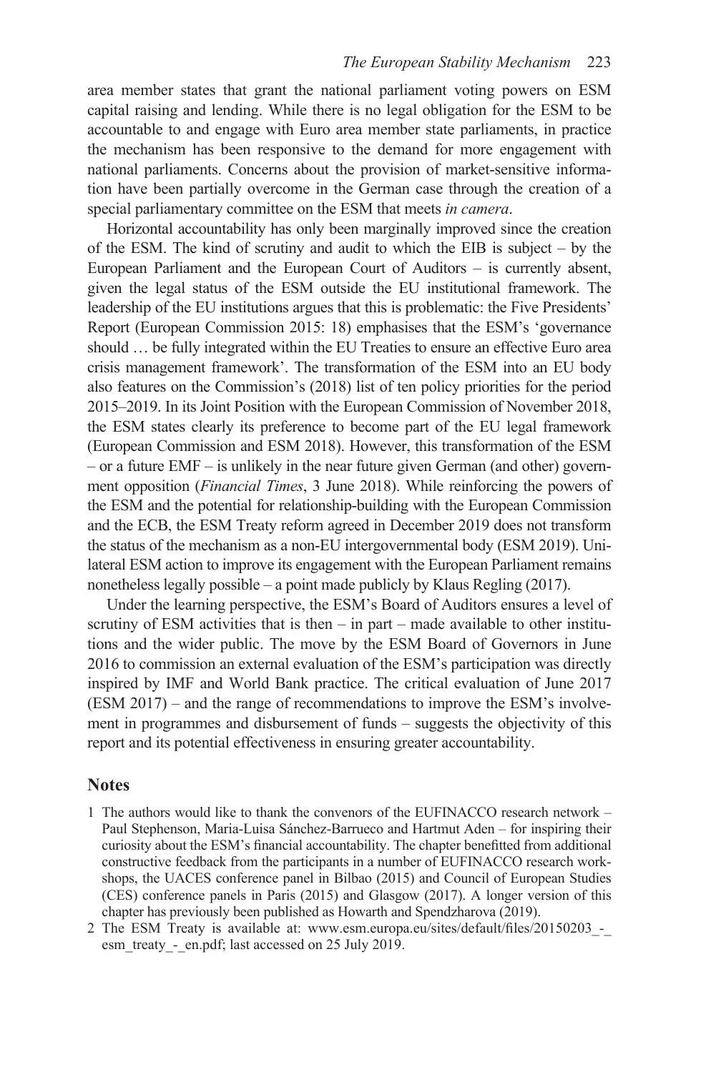area member states that grant the national parliament voting powers on ESM capital raising and lending. While there is no legal obligation for the ESM to be accountable to and engage with Euro area member state parliaments, in practice the mechanism has been responsive to the demand for more engagement with national parliaments. Concerns about the provision of market-sensitive information have been partially overcome in the German case through the creation of a special parliamentary committee on the ESM that meets *in camera*.

Horizontal accountability has only been marginally improved since the creation of the ESM. The kind of scrutiny and audit to which the EIB is subject – by the European Parliament and the European Court of Auditors – is currently absent, given the legal status of the ESM outside the EU institutional framework. The leadership of the EU institutions argues that this is problematic: the Five Presidents' Report (European Commission 2015: 18) emphasises that the ESM's 'governance should … be fully integrated within the EU Treaties to ensure an effective Euro area crisis management framework'. The transformation of the ESM into an EU body also features on the Commission's (2018) list of ten policy priorities for the period 2015–2019. In its Joint Position with the European Commission of November 2018, the ESM states clearly its preference to become part of the EU legal framework (European Commission and ESM 2018). However, this transformation of the ESM – or a future EMF – is unlikely in the near future given German (and other) government opposition (*Financial Times*, 3 June 2018). While reinforcing the powers of the ESM and the potential for relationship-building with the European Commission and the ECB, the ESM Treaty reform agreed in December 2019 does not transform the status of the mechanism as a non-EU intergovernmental body (ESM 2019). Unilateral ESM action to improve its engagement with the European Parliament remains nonetheless legally possible – a point made publicly by Klaus Regling (2017).

Under the learning perspective, the ESM's Board of Auditors ensures a level of scrutiny of ESM activities that is then – in part – made available to other institutions and the wider public. The move by the ESM Board of Governors in June 2016 to commission an external evaluation of the ESM's participation was directly inspired by IMF and World Bank practice. The critical evaluation of June 2017 (ESM 2017) – and the range of recommendations to improve the ESM's involvement in programmes and disbursement of funds – suggests the objectivity of this report and its potential effectiveness in ensuring greater accountability.

#### **Notes**

- [1](#page--1-0) The authors would like to thank the convenors of the EUFINACCO research network Paul Stephenson, Maria-Luisa Sánchez-Barrueco and Hartmut Aden – for inspiring their curiosity about the ESM's financial accountability. The chapter benefitted from additional constructive feedback from the participants in a number of EUFINACCO research workshops, the UACES conference panel in Bilbao (2015) and Council of European Studies (CES) conference panels in Paris (2015) and Glasgow (2017). A longer version of this chapter has previously been published as Howarth and Spendzharova (2019).
- [2](#page--1-0) The ESM Treaty is available at: [www.esm.europa.eu/sites/default/files/20150203\\_-\\_](www.esm.europa.eu) esm treaty - en.pdf; last accessed on 25 July 2019.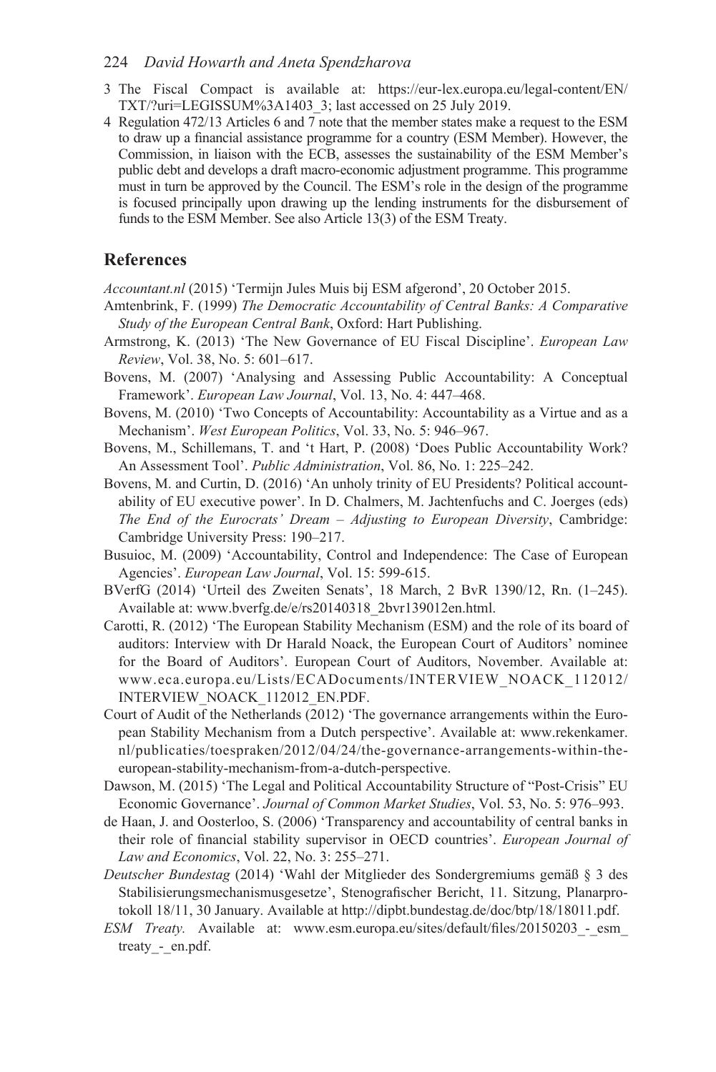#### 224 *David Howarth and Aneta Spendzharova*

- [3](#page--1-0) The Fiscal Compact is available at: [https://eur-lex.europa.eu/legal-content/EN/](https://eur-lex.europa.eu) [TXT/?uri=LEGISSUM%3A1403\\_3;](https://eur-lex.europa.eu) last accessed on 25 July 2019.
- [4](#page--1-0) Regulation 472/13 Articles 6 and 7 note that the member states make a request to the ESM to draw up a financial assistance programme for a country (ESM Member). However, the Commission, in liaison with the ECB, assesses the sustainability of the ESM Member's public debt and develops a draft macro-economic adjustment programme. This programme must in turn be approved by the Council. The ESM's role in the design of the programme is focused principally upon drawing up the lending instruments for the disbursement of funds to the ESM Member. See also Article 13(3) of the ESM Treaty.

## **References**

*Accountant.nl* (2015) 'Termijn Jules Muis bij ESM afgerond', 20 October 2015.

- Amtenbrink, F. (1999) *The Democratic Accountability of Central Banks: A Comparative Study of the European Central Bank*, Oxford: Hart Publishing.
- Armstrong, K. (2013) 'The New Governance of EU Fiscal Discipline'. *European Law Review*, Vol. 38, No. 5: 601–617.
- Bovens, M. (2007) 'Analysing and Assessing Public Accountability: A Conceptual Framework'. *European Law Journal*, Vol. 13, No. 4: 447–468.
- Bovens, M. (2010) 'Two Concepts of Accountability: Accountability as a Virtue and as a Mechanism'. *West European Politics*, Vol. 33, No. 5: 946–967.
- Bovens, M., Schillemans, T. and 't Hart, P. (2008) 'Does Public Accountability Work? An Assessment Tool'. *Public Administration*, Vol. 86, No. 1: 225–242.
- Bovens, M. and Curtin, D. (2016) 'An unholy trinity of EU Presidents? Political accountability of EU executive power'. In D. Chalmers, M. Jachtenfuchs and C. Joerges (eds) *The End of the Eurocrats' Dream – Adjusting to European Diversity*, Cambridge: Cambridge University Press: 190–217.
- Busuioc, M. (2009) 'Accountability, Control and Independence: The Case of European Agencies'. *European Law Journal*, Vol. 15: 599-615.
- BVerfG (2014) 'Urteil des Zweiten Senats', 18 March, 2 BvR 1390/12, Rn. (1–245). Available at: [www.bverfg.de/e/rs20140318\\_2bvr139012en.html.](www.bverfg.de)
- Carotti, R. (2012) 'The European Stability Mechanism (ESM) and the role of its board of auditors: Interview with Dr Harald Noack, the European Court of Auditors' nominee for the Board of Auditors'. European Court of Auditors, November. Available at: [www.eca.europa.eu/Lists/ECADocuments/INTERVIEW\\_NOACK\\_112012/](www.eca.europa.eu) [INTERVIEW\\_NOACK\\_112012\\_EN.PDF.](www.eca.europa.eu)
- Court of Audit of the Netherlands (2012) 'The governance arrangements within the European Stability Mechanism from a Dutch perspective'. Available at: [www.rekenkamer.](www.rekenkamer.nl) [nl/publicaties/toespraken/2012/04/24/the-governance-arrangements-within-the](www.rekenkamer.nl)[european-stability-mechanism-from-a-dutch-perspective.](www.rekenkamer.nl)
- Dawson, M. (2015) 'The Legal and Political Accountability Structure of "Post-Crisis" EU Economic Governance'. *Journal of Common Market Studies*, Vol. 53, No. 5: 976–993.
- de Haan, J. and Oosterloo, S. (2006) 'Transparency and accountability of central banks in their role of financial stability supervisor in OECD countries'. *European Journal of Law and Economics*, Vol. 22, No. 3: 255–271.
- *Deutscher Bundestag* (2014) 'Wahl der Mitglieder des Sondergremiums gemäß § 3 des Stabilisierungsmechanismusgesetze', Stenografischer Bericht, 11. Sitzung, Planarprotokoll 18/11, 30 January. Available at [http://dipbt.bundestag.de/doc/btp/18/18011.pdf.](http://dipbt.bundestag.de)
- *ESM Treaty.* Available at: www.esm.europa.eu/sites/default/files/20150203 esm treaty - en.pdf.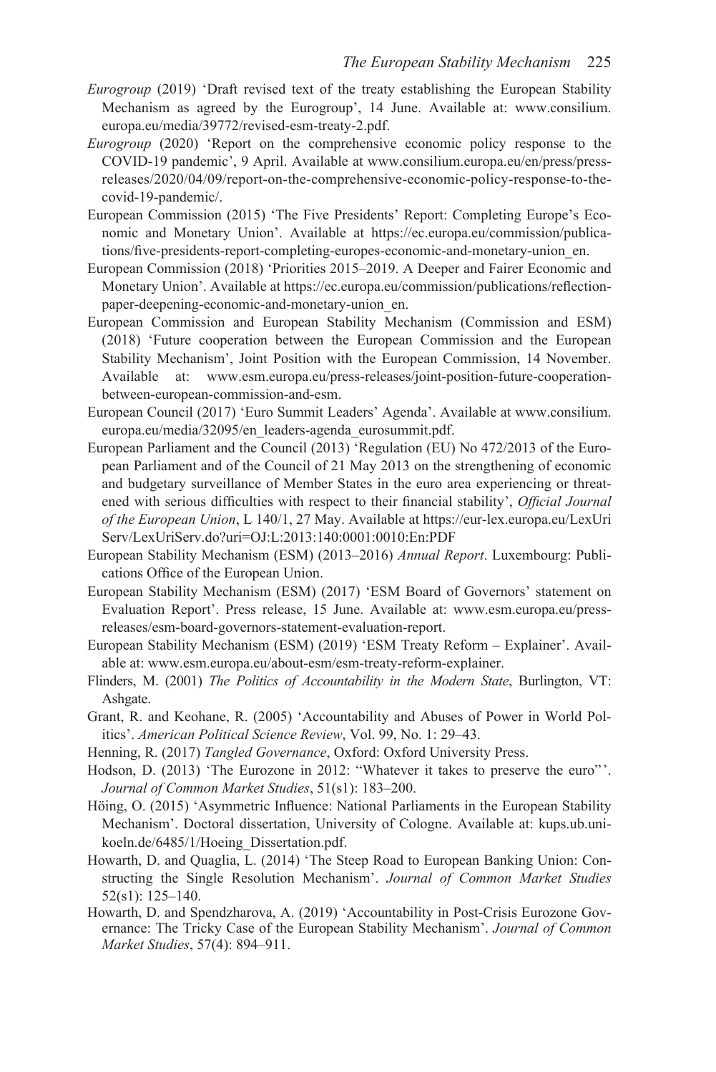- *Eurogroup* (2019) 'Draft revised text of the treaty establishing the European Stability Mechanism as agreed by the Eurogroup', 14 June. Available at: [www.consilium.](www.consilium.europa.eu) [europa.eu/media/39772/revised-esm-treaty-2.pdf.](www.consilium.europa.eu)
- *Eurogroup* (2020) 'Report on the comprehensive economic policy response to the COVID-19 pandemic', 9 April. Available at [www.consilium.europa.eu/en/press/press](www.consilium.europa.eu)[releases/2020/04/09/report-on-the-comprehensive-economic-policy-response-to-the](www.consilium.europa.eu)[covid-19-pandemic/.](www.consilium.europa.eu)
- European Commission (2015) 'The Five Presidents' Report: Completing Europe's Economic and Monetary Union'. Available at [https://ec.europa.eu/commission/publica](https://ec.europa.eu)[tions/five-presidents-report-completing-europes-economic-and-monetary-union\\_en.](https://ec.europa.eu)
- European Commission (2018) 'Priorities 2015–2019. A Deeper and Fairer Economic and Monetary Union'. Available at [https://ec.europa.eu/commission/publications/reflection](https://ec.europa.eu)[paper-deepening-economic-and-monetary-union\\_en.](https://ec.europa.eu)
- European Commission and European Stability Mechanism (Commission and ESM) (2018) 'Future cooperation between the European Commission and the European Stability Mechanism', Joint Position with the European Commission, 14 November. Available at: [www.esm.europa.eu/press-releases/joint-position-future-cooperation](www.esm.europa.eu)[between-european-commission-and-esm.](www.esm.europa.eu)
- European Council (2017) 'Euro Summit Leaders' Agenda'. Available at [www.consilium.](www.consilium.europa.eu) [europa.eu/media/32095/en\\_leaders-agenda\\_eurosummit.pdf.](www.consilium.europa.eu)
- European Parliament and the Council (2013) 'Regulation (EU) No 472/2013 of the European Parliament and of the Council of 21 May 2013 on the strengthening of economic and budgetary surveillance of Member States in the euro area experiencing or threatened with serious difficulties with respect to their financial stability', *Official Journal of the European Union*, L 140/1, 27 May. Available a[t https://eur-lex.europa.eu/LexUri](https://eur-lex.europa.eu)  [Serv/LexUriServ.do?uri=OJ:L:2013:140:0001:0010:En:PDF](https://eur-lex.europa.eu)
- European Stability Mechanism (ESM) (2013–2016) *Annual Report*. Luxembourg: Publications Office of the European Union.
- European Stability Mechanism (ESM) (2017) 'ESM Board of Governors' statement on Evaluation Report'. Press release, 15 June. Available at: [www.esm.europa.eu/press](www.esm.europa.eu)[releases/esm-board-governors-statement-evaluation-report.](www.esm.europa.eu)
- European Stability Mechanism (ESM) (2019) 'ESM Treaty Reform Explainer'. Available at: [www.esm.europa.eu/about-esm/esm-treaty-reform-explainer.](www.esm.europa.eu)
- Flinders, M. (2001) *The Politics of Accountability in the Modern State*, Burlington, VT: Ashgate.
- Grant, R. and Keohane, R. (2005) 'Accountability and Abuses of Power in World Politics'. *American Political Science Review*, Vol. 99, No. 1: 29–43.
- Henning, R. (2017) *Tangled Governance*, Oxford: Oxford University Press.
- Hodson, D. (2013) 'The Eurozone in 2012: "Whatever it takes to preserve the euro" '. *Journal of Common Market Studies*, 51(s1): 183–200.
- Höing, O. (2015) 'Asymmetric Influence: National Parliaments in the European Stability Mechanism'. Doctoral dissertation, University of Cologne. Available at: kups.ub.unikoeln.de/6485/1/Hoeing\_Dissertation.pdf.
- Howarth, D. and Quaglia, L. (2014) 'The Steep Road to European Banking Union: Constructing the Single Resolution Mechanism'. *Journal of Common Market Studies* 52(s1): 125–140.
- Howarth, D. and Spendzharova, A. (2019) 'Accountability in Post-Crisis Eurozone Governance: The Tricky Case of the European Stability Mechanism'. *Journal of Common Market Studies*, 57(4): 894–911.